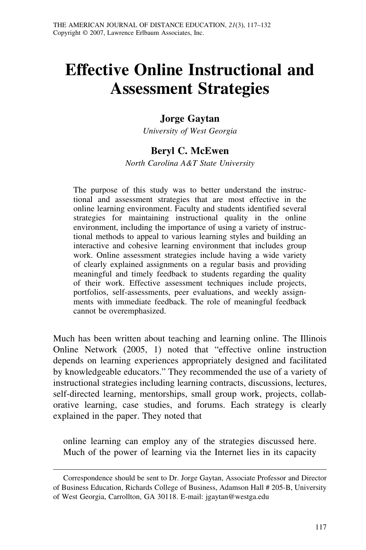# **Effective Online Instructional and Assessment Strategies**

# **Jorge Gaytan**

*University of West Georgia*

# **Beryl C. McEwen**

*North Carolina A&T State University*

The purpose of this study was to better understand the instructional and assessment strategies that are most effective in the online learning environment. Faculty and students identified several strategies for maintaining instructional quality in the online environment, including the importance of using a variety of instructional methods to appeal to various learning styles and building an interactive and cohesive learning environment that includes group work. Online assessment strategies include having a wide variety of clearly explained assignments on a regular basis and providing meaningful and timely feedback to students regarding the quality of their work. Effective assessment techniques include projects, portfolios, self-assessments, peer evaluations, and weekly assignments with immediate feedback. The role of meaningful feedback cannot be overemphasized.

Much has been written about teaching and learning online. The Illinois Online Network (2005, 1) noted that "effective online instruction depends on learning experiences appropriately designed and facilitated by knowledgeable educators." They recommended the use of a variety of instructional strategies including learning contracts, discussions, lectures, self-directed learning, mentorships, small group work, projects, collaborative learning, case studies, and forums. Each strategy is clearly explained in the paper. They noted that

online learning can employ any of the strategies discussed here. Much of the power of learning via the Internet lies in its capacity

Correspondence should be sent to Dr. Jorge Gaytan, Associate Professor and Director of Business Education, Richards College of Business, Adamson Hall # 205-B, University of West Georgia, Carrollton, GA 30118. E-mail: jgaytan@westga.edu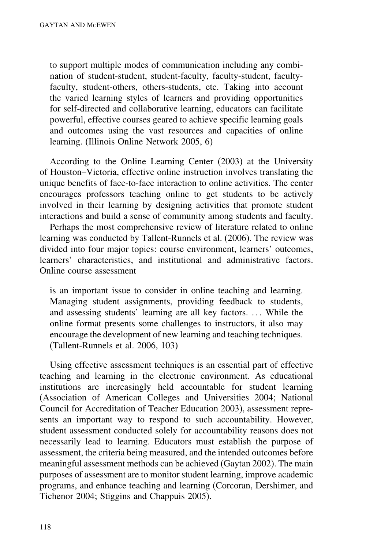to support multiple modes of communication including any combination of student-student, student-faculty, faculty-student, facultyfaculty, student-others, others-students, etc. Taking into account the varied learning styles of learners and providing opportunities for self-directed and collaborative learning, educators can facilitate powerful, effective courses geared to achieve specific learning goals and outcomes using the vast resources and capacities of online learning. (Illinois Online Network 2005, 6)

According to the Online Learning Center (2003) at the University of Houston–Victoria, effective online instruction involves translating the unique benefits of face-to-face interaction to online activities. The center encourages professors teaching online to get students to be actively involved in their learning by designing activities that promote student interactions and build a sense of community among students and faculty.

Perhaps the most comprehensive review of literature related to online learning was conducted by Tallent-Runnels et al. (2006). The review was divided into four major topics: course environment, learners' outcomes, learners' characteristics, and institutional and administrative factors. Online course assessment

is an important issue to consider in online teaching and learning. Managing student assignments, providing feedback to students, and assessing students' learning are all key factors. ... While the online format presents some challenges to instructors, it also may encourage the development of new learning and teaching techniques. (Tallent-Runnels et al. 2006, 103)

Using effective assessment techniques is an essential part of effective teaching and learning in the electronic environment. As educational institutions are increasingly held accountable for student learning (Association of American Colleges and Universities 2004; National Council for Accreditation of Teacher Education 2003), assessment represents an important way to respond to such accountability. However, student assessment conducted solely for accountability reasons does not necessarily lead to learning. Educators must establish the purpose of assessment, the criteria being measured, and the intended outcomes before meaningful assessment methods can be achieved (Gaytan 2002). The main purposes of assessment are to monitor student learning, improve academic programs, and enhance teaching and learning (Corcoran, Dershimer, and Tichenor 2004; Stiggins and Chappuis 2005).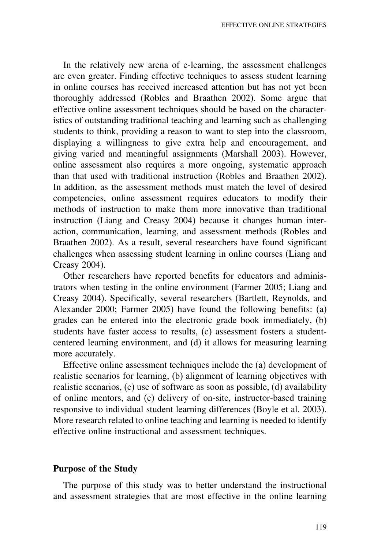In the relatively new arena of e-learning, the assessment challenges are even greater. Finding effective techniques to assess student learning in online courses has received increased attention but has not yet been thoroughly addressed (Robles and Braathen 2002). Some argue that effective online assessment techniques should be based on the characteristics of outstanding traditional teaching and learning such as challenging students to think, providing a reason to want to step into the classroom, displaying a willingness to give extra help and encouragement, and giving varied and meaningful assignments (Marshall 2003). However, online assessment also requires a more ongoing, systematic approach than that used with traditional instruction (Robles and Braathen 2002). In addition, as the assessment methods must match the level of desired competencies, online assessment requires educators to modify their methods of instruction to make them more innovative than traditional instruction (Liang and Creasy 2004) because it changes human interaction, communication, learning, and assessment methods (Robles and Braathen 2002). As a result, several researchers have found significant challenges when assessing student learning in online courses (Liang and Creasy 2004).

Other researchers have reported benefits for educators and administrators when testing in the online environment (Farmer 2005; Liang and Creasy 2004). Specifically, several researchers (Bartlett, Reynolds, and Alexander 2000; Farmer 2005) have found the following benefits: (a) grades can be entered into the electronic grade book immediately, (b) students have faster access to results, (c) assessment fosters a studentcentered learning environment, and (d) it allows for measuring learning more accurately.

Effective online assessment techniques include the (a) development of realistic scenarios for learning, (b) alignment of learning objectives with realistic scenarios, (c) use of software as soon as possible, (d) availability of online mentors, and (e) delivery of on-site, instructor-based training responsive to individual student learning differences (Boyle et al. 2003). More research related to online teaching and learning is needed to identify effective online instructional and assessment techniques.

#### **Purpose of the Study**

The purpose of this study was to better understand the instructional and assessment strategies that are most effective in the online learning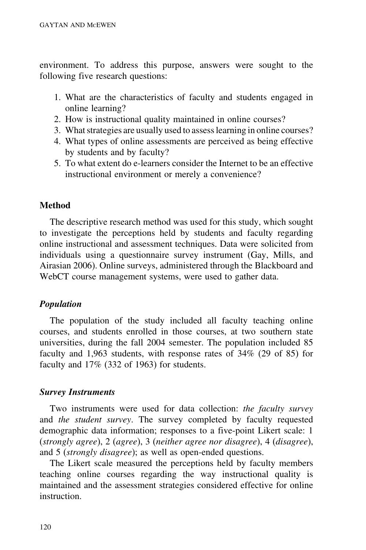environment. To address this purpose, answers were sought to the following five research questions:

- 1. What are the characteristics of faculty and students engaged in online learning?
- 2. How is instructional quality maintained in online courses?
- 3. What strategies are usually used to assess learning in online courses?
- 4. What types of online assessments are perceived as being effective by students and by faculty?
- 5. To what extent do e-learners consider the Internet to be an effective instructional environment or merely a convenience?

# **Method**

The descriptive research method was used for this study, which sought to investigate the perceptions held by students and faculty regarding online instructional and assessment techniques. Data were solicited from individuals using a questionnaire survey instrument (Gay, Mills, and Airasian 2006). Online surveys, administered through the Blackboard and WebCT course management systems, were used to gather data.

# *Population*

The population of the study included all faculty teaching online courses, and students enrolled in those courses, at two southern state universities, during the fall 2004 semester. The population included 85 faculty and 1,963 students, with response rates of 34% (29 of 85) for faculty and 17% (332 of 1963) for students.

# *Survey Instruments*

Two instruments were used for data collection: *the faculty survey* and *the student survey*. The survey completed by faculty requested demographic data information; responses to a five-point Likert scale: 1 (*strongly agree*), 2 (*agree*), 3 (*neither agree nor disagree*), 4 (*disagree*), and 5 (*strongly disagree*); as well as open-ended questions.

The Likert scale measured the perceptions held by faculty members teaching online courses regarding the way instructional quality is maintained and the assessment strategies considered effective for online instruction.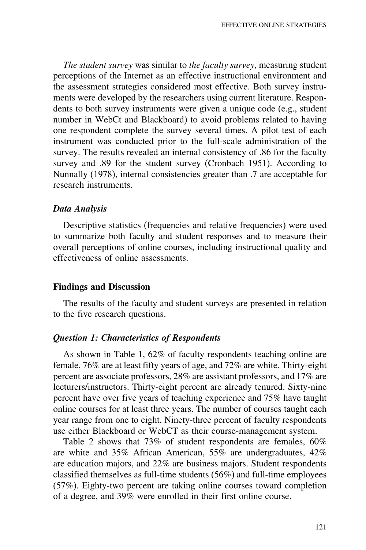*The student survey* was similar to *the faculty survey*, measuring student perceptions of the Internet as an effective instructional environment and the assessment strategies considered most effective. Both survey instruments were developed by the researchers using current literature. Respondents to both survey instruments were given a unique code (e.g., student number in WebCt and Blackboard) to avoid problems related to having one respondent complete the survey several times. A pilot test of each instrument was conducted prior to the full-scale administration of the survey. The results revealed an internal consistency of .86 for the faculty survey and .89 for the student survey (Cronbach 1951). According to Nunnally (1978), internal consistencies greater than .7 are acceptable for research instruments.

#### *Data Analysis*

Descriptive statistics (frequencies and relative frequencies) were used to summarize both faculty and student responses and to measure their overall perceptions of online courses, including instructional quality and effectiveness of online assessments.

#### **Findings and Discussion**

The results of the faculty and student surveys are presented in relation to the five research questions.

#### *Question 1: Characteristics of Respondents*

As shown in Table 1, 62% of faculty respondents teaching online are female, 76% are at least fifty years of age, and 72% are white. Thirty-eight percent are associate professors, 28% are assistant professors, and 17% are lecturers/instructors. Thirty-eight percent are already tenured. Sixty-nine percent have over five years of teaching experience and 75% have taught online courses for at least three years. The number of courses taught each year range from one to eight. Ninety-three percent of faculty respondents use either Blackboard or WebCT as their course-management system.

Table 2 shows that 73% of student respondents are females, 60% are white and 35% African American, 55% are undergraduates, 42% are education majors, and 22% are business majors. Student respondents classified themselves as full-time students (56%) and full-time employees (57%). Eighty-two percent are taking online courses toward completion of a degree, and 39% were enrolled in their first online course.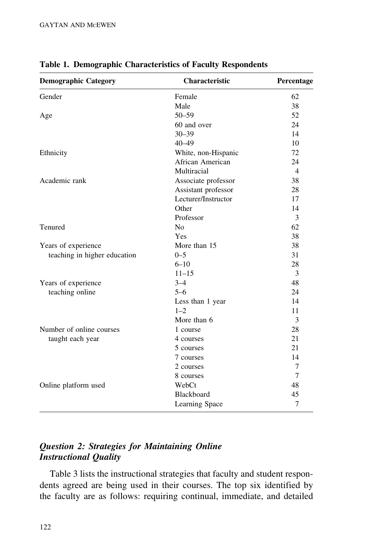| <b>Demographic Category</b>  | Characteristic      | Percentage     |
|------------------------------|---------------------|----------------|
| Gender                       | Female              | 62             |
|                              | Male                | 38             |
| Age                          | $50 - 59$           | 52             |
|                              | 60 and over         | 24             |
|                              | $30 - 39$           | 14             |
|                              | $40 - 49$           | 10             |
| Ethnicity                    | White, non-Hispanic | 72             |
|                              | African American    | 24             |
|                              | Multiracial         | $\overline{4}$ |
| Academic rank                | Associate professor | 38             |
|                              | Assistant professor | 28             |
|                              | Lecturer/Instructor | 17             |
|                              | Other               | 14             |
|                              | Professor           | 3              |
| Tenured                      | No                  | 62             |
|                              | Yes                 | 38             |
| Years of experience          | More than 15        | 38             |
| teaching in higher education | $0 - 5$             | 31             |
|                              | $6 - 10$            | 28             |
|                              | $11 - 15$           | 3              |
| Years of experience          | $3 - 4$             | 48             |
| teaching online              | $5 - 6$             | 24             |
|                              | Less than 1 year    | 14             |
|                              | $1 - 2$             | 11             |
|                              | More than 6         | 3              |
| Number of online courses     | 1 course            | 28             |
| taught each year             | 4 courses           | 21             |
|                              | 5 courses           | 21             |
|                              | 7 courses           | 14             |
|                              | 2 courses           | 7              |
|                              | 8 courses           | $\overline{7}$ |
| Online platform used         | WebCt               | 48             |
|                              | Blackboard          | 45             |
|                              | Learning Space      | $\overline{7}$ |

**Table 1. Demographic Characteristics of Faculty Respondents**

# *Question 2: Strategies for Maintaining Online Instructional Quality*

Table 3 lists the instructional strategies that faculty and student respondents agreed are being used in their courses. The top six identified by the faculty are as follows: requiring continual, immediate, and detailed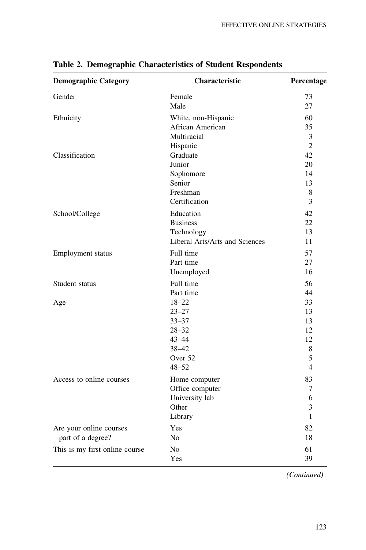| <b>Demographic Category</b>                  | Characteristic                                                                                 | Percentage                                             |
|----------------------------------------------|------------------------------------------------------------------------------------------------|--------------------------------------------------------|
| Gender                                       | Female<br>Male                                                                                 | 73<br>27                                               |
| Ethnicity                                    | White, non-Hispanic<br>African American<br>Multiracial<br>Hispanic                             | 60<br>35<br>3<br>$\overline{2}$                        |
| Classification                               | Graduate<br>Junior<br>Sophomore<br>Senior<br>Freshman<br>Certification                         | 42<br>20<br>14<br>13<br>8<br>3                         |
| School/College                               | Education<br><b>Business</b><br>Technology<br>Liberal Arts/Arts and Sciences                   | 42<br>22<br>13<br>11                                   |
| Employment status                            | Full time<br>Part time<br>Unemployed                                                           | 57<br>27<br>16                                         |
| Student status                               | Full time<br>Part time                                                                         | 56<br>44                                               |
| Age                                          | $18 - 22$<br>$23 - 27$<br>$33 - 37$<br>$28 - 32$<br>$43 - 44$<br>38-42<br>Over 52<br>$48 - 52$ | 33<br>13<br>13<br>12<br>12<br>8<br>5<br>$\overline{4}$ |
| Access to online courses                     | Home computer<br>Office computer<br>University lab<br>Other<br>Library                         | 83<br>7<br>6<br>3<br>1                                 |
| Are your online courses<br>part of a degree? | Yes<br>N <sub>0</sub>                                                                          | 82<br>18                                               |
| This is my first online course               | No<br>Yes                                                                                      | 61<br>39                                               |

**Table 2. Demographic Characteristics of Student Respondents**

*(Continued)*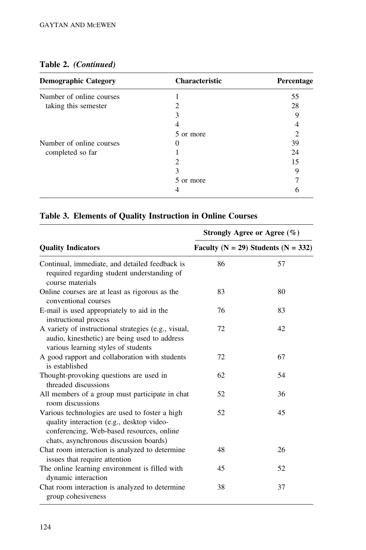# **Table 2.** *(Continued)*

| <b>Demographic Category</b> | <b>Characteristic</b> | <b>Percentage</b> |
|-----------------------------|-----------------------|-------------------|
| Number of online courses    |                       | 55                |
| taking this semester        |                       | 28                |
|                             |                       | 9                 |
|                             |                       |                   |
|                             | 5 or more             | $\overline{c}$    |
| Number of online courses    |                       | 39                |
| completed so far            |                       | 24                |
|                             |                       | 15                |
|                             |                       | 9                 |
|                             | 5 or more             |                   |
|                             |                       | n                 |

# **Table 3. Elements of Quality Instruction in Online Courses**

|                                                                                                                                                                                    | Strongly Agree or Agree $(\% )$<br>Faculty ( $N = 29$ ) Students ( $N = 332$ ) |    |
|------------------------------------------------------------------------------------------------------------------------------------------------------------------------------------|--------------------------------------------------------------------------------|----|
| <b>Quality Indicators</b>                                                                                                                                                          |                                                                                |    |
| Continual, immediate, and detailed feedback is<br>required regarding student understanding of<br>course materials                                                                  | 86                                                                             | 57 |
| Online courses are at least as rigorous as the<br>conventional courses                                                                                                             | 83                                                                             | 80 |
| E-mail is used appropriately to aid in the<br>instructional process                                                                                                                | 76                                                                             | 83 |
| A variety of instructional strategies (e.g., visual,<br>audio, kinesthetic) are being used to address<br>various learning styles of students                                       | 72                                                                             | 42 |
| A good rapport and collaboration with students<br>is established                                                                                                                   | 72                                                                             | 67 |
| Thought-provoking questions are used in<br>threaded discussions                                                                                                                    | 62                                                                             | 54 |
| All members of a group must participate in chat<br>room discussions                                                                                                                | 52                                                                             | 36 |
| Various technologies are used to foster a high<br>quality interaction (e.g., desktop video-<br>conferencing, Web-based resources, online<br>chats, asynchronous discussion boards) | 52                                                                             | 45 |
| Chat room interaction is analyzed to determine<br>issues that require attention                                                                                                    | 48                                                                             | 26 |
| The online learning environment is filled with<br>dynamic interaction                                                                                                              | 45                                                                             | 52 |
| Chat room interaction is analyzed to determine<br>group cohesiveness                                                                                                               | 38                                                                             | 37 |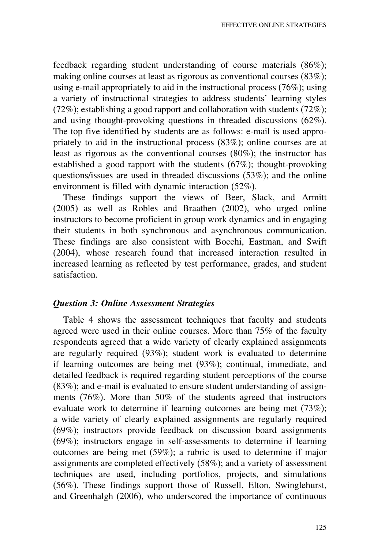feedback regarding student understanding of course materials (86%); making online courses at least as rigorous as conventional courses (83%); using e-mail appropriately to aid in the instructional process (76%); using a variety of instructional strategies to address students' learning styles  $(72\%)$ ; establishing a good rapport and collaboration with students  $(72\%)$ ; and using thought-provoking questions in threaded discussions (62%). The top five identified by students are as follows: e-mail is used appropriately to aid in the instructional process (83%); online courses are at least as rigorous as the conventional courses (80%); the instructor has established a good rapport with the students (67%); thought-provoking questions/issues are used in threaded discussions (53%); and the online environment is filled with dynamic interaction (52%).

These findings support the views of Beer, Slack, and Armitt (2005) as well as Robles and Braathen (2002), who urged online instructors to become proficient in group work dynamics and in engaging their students in both synchronous and asynchronous communication. These findings are also consistent with Bocchi, Eastman, and Swift (2004), whose research found that increased interaction resulted in increased learning as reflected by test performance, grades, and student satisfaction.

## *Question 3: Online Assessment Strategies*

Table 4 shows the assessment techniques that faculty and students agreed were used in their online courses. More than 75% of the faculty respondents agreed that a wide variety of clearly explained assignments are regularly required (93%); student work is evaluated to determine if learning outcomes are being met (93%); continual, immediate, and detailed feedback is required regarding student perceptions of the course  $(83\%)$ ; and e-mail is evaluated to ensure student understanding of assignments (76%). More than 50% of the students agreed that instructors evaluate work to determine if learning outcomes are being met (73%); a wide variety of clearly explained assignments are regularly required (69%); instructors provide feedback on discussion board assignments (69%); instructors engage in self-assessments to determine if learning outcomes are being met (59%); a rubric is used to determine if major assignments are completed effectively (58%); and a variety of assessment techniques are used, including portfolios, projects, and simulations (56%). These findings support those of Russell, Elton, Swinglehurst, and Greenhalgh (2006), who underscored the importance of continuous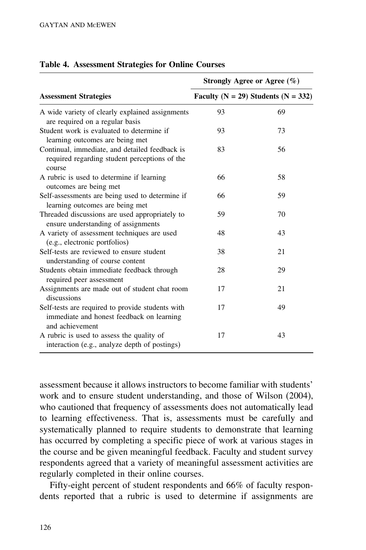|                                                                                                                  | Strongly Agree or Agree $(\%)$<br>Faculty ( $N = 29$ ) Students ( $N = 332$ ) |    |
|------------------------------------------------------------------------------------------------------------------|-------------------------------------------------------------------------------|----|
| <b>Assessment Strategies</b>                                                                                     |                                                                               |    |
| A wide variety of clearly explained assignments<br>are required on a regular basis                               | 93                                                                            | 69 |
| Student work is evaluated to determine if<br>learning outcomes are being met                                     | 93                                                                            | 73 |
| Continual, immediate, and detailed feedback is<br>required regarding student perceptions of the<br>course        | 83                                                                            | 56 |
| A rubric is used to determine if learning<br>outcomes are being met                                              | 66                                                                            | 58 |
| Self-assessments are being used to determine if<br>learning outcomes are being met                               | 66                                                                            | 59 |
| Threaded discussions are used appropriately to<br>ensure understanding of assignments                            | 59                                                                            | 70 |
| A variety of assessment techniques are used<br>(e.g., electronic portfolios)                                     | 48                                                                            | 43 |
| Self-tests are reviewed to ensure student<br>understanding of course content                                     | 38                                                                            | 21 |
| Students obtain immediate feedback through<br>required peer assessment                                           | 28                                                                            | 29 |
| Assignments are made out of student chat room<br>discussions                                                     | 17                                                                            | 21 |
| Self-tests are required to provide students with<br>immediate and honest feedback on learning<br>and achievement | 17                                                                            | 49 |
| A rubric is used to assess the quality of<br>interaction (e.g., analyze depth of postings)                       | 17                                                                            | 43 |

#### **Table 4. Assessment Strategies for Online Courses**

assessment because it allows instructors to become familiar with students' work and to ensure student understanding, and those of Wilson (2004), who cautioned that frequency of assessments does not automatically lead to learning effectiveness. That is, assessments must be carefully and systematically planned to require students to demonstrate that learning has occurred by completing a specific piece of work at various stages in the course and be given meaningful feedback. Faculty and student survey respondents agreed that a variety of meaningful assessment activities are regularly completed in their online courses.

Fifty-eight percent of student respondents and 66% of faculty respondents reported that a rubric is used to determine if assignments are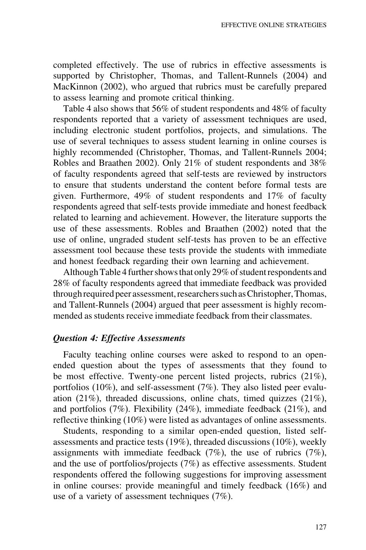EFFECTIVE ONLINE STRATEGIES

completed effectively. The use of rubrics in effective assessments is supported by Christopher, Thomas, and Tallent-Runnels (2004) and MacKinnon (2002), who argued that rubrics must be carefully prepared to assess learning and promote critical thinking.

Table 4 also shows that 56% of student respondents and 48% of faculty respondents reported that a variety of assessment techniques are used, including electronic student portfolios, projects, and simulations. The use of several techniques to assess student learning in online courses is highly recommended (Christopher, Thomas, and Tallent-Runnels 2004; Robles and Braathen 2002). Only 21% of student respondents and 38% of faculty respondents agreed that self-tests are reviewed by instructors to ensure that students understand the content before formal tests are given. Furthermore, 49% of student respondents and 17% of faculty respondents agreed that self-tests provide immediate and honest feedback related to learning and achievement. However, the literature supports the use of these assessments. Robles and Braathen (2002) noted that the use of online, ungraded student self-tests has proven to be an effective assessment tool because these tests provide the students with immediate and honest feedback regarding their own learning and achievement.

Although Table 4 further shows that only 29% of student respondents and 28% of faculty respondents agreed that immediate feedback was provided through required peer assessment, researchers such asChristopher, Thomas, and Tallent-Runnels (2004) argued that peer assessment is highly recommended as students receive immediate feedback from their classmates.

## *Question 4: Effective Assessments*

Faculty teaching online courses were asked to respond to an openended question about the types of assessments that they found to be most effective. Twenty-one percent listed projects, rubrics (21%), portfolios (10%), and self-assessment (7%). They also listed peer evaluation (21%), threaded discussions, online chats, timed quizzes (21%), and portfolios (7%). Flexibility (24%), immediate feedback (21%), and reflective thinking (10%) were listed as advantages of online assessments.

Students, responding to a similar open-ended question, listed selfassessments and practice tests (19%), threaded discussions (10%), weekly assignments with immediate feedback  $(7\%)$ , the use of rubrics  $(7\%)$ , and the use of portfolios/projects (7%) as effective assessments. Student respondents offered the following suggestions for improving assessment in online courses: provide meaningful and timely feedback (16%) and use of a variety of assessment techniques (7%).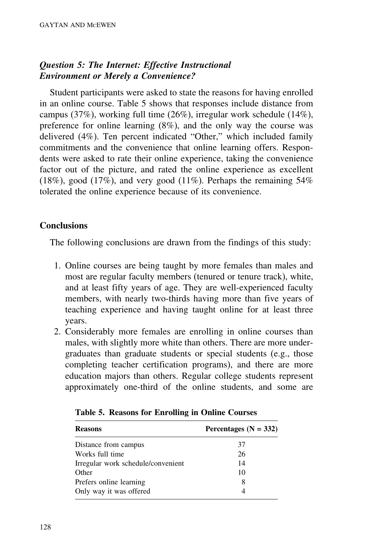# *Question 5: The Internet: Effective Instructional Environment or Merely a Convenience?*

Student participants were asked to state the reasons for having enrolled in an online course. Table 5 shows that responses include distance from campus (37%), working full time (26%), irregular work schedule (14%), preference for online learning (8%), and the only way the course was delivered (4%). Ten percent indicated "Other," which included family commitments and the convenience that online learning offers. Respondents were asked to rate their online experience, taking the convenience factor out of the picture, and rated the online experience as excellent (18%), good (17%), and very good (11%). Perhaps the remaining  $54\%$ tolerated the online experience because of its convenience.

# **Conclusions**

The following conclusions are drawn from the findings of this study:

- 1. Online courses are being taught by more females than males and most are regular faculty members (tenured or tenure track), white, and at least fifty years of age. They are well-experienced faculty members, with nearly two-thirds having more than five years of teaching experience and having taught online for at least three years.
- 2. Considerably more females are enrolling in online courses than males, with slightly more white than others. There are more undergraduates than graduate students or special students (e.g., those completing teacher certification programs), and there are more education majors than others. Regular college students represent approximately one-third of the online students, and some are

| <b>Reasons</b>                     | Percentages ( $N = 332$ ) |  |
|------------------------------------|---------------------------|--|
| Distance from campus               | 37                        |  |
| Works full time                    | 26                        |  |
| Irregular work schedule/convenient | 14                        |  |
| Other                              | 10                        |  |
| Prefers online learning            | 8                         |  |
| Only way it was offered            |                           |  |

**Table 5. Reasons for Enrolling in Online Courses**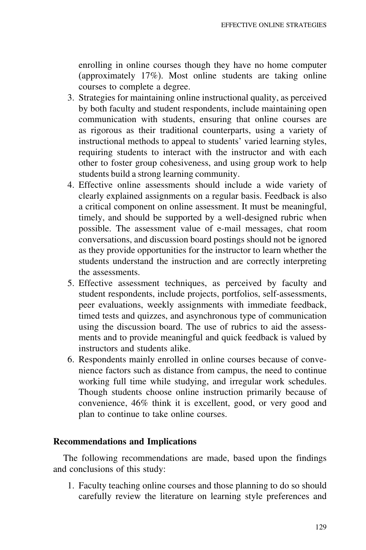enrolling in online courses though they have no home computer (approximately 17%). Most online students are taking online courses to complete a degree.

- 3. Strategies for maintaining online instructional quality, as perceived by both faculty and student respondents, include maintaining open communication with students, ensuring that online courses are as rigorous as their traditional counterparts, using a variety of instructional methods to appeal to students' varied learning styles, requiring students to interact with the instructor and with each other to foster group cohesiveness, and using group work to help students build a strong learning community.
- 4. Effective online assessments should include a wide variety of clearly explained assignments on a regular basis. Feedback is also a critical component on online assessment. It must be meaningful, timely, and should be supported by a well-designed rubric when possible. The assessment value of e-mail messages, chat room conversations, and discussion board postings should not be ignored as they provide opportunities for the instructor to learn whether the students understand the instruction and are correctly interpreting the assessments.
- 5. Effective assessment techniques, as perceived by faculty and student respondents, include projects, portfolios, self-assessments, peer evaluations, weekly assignments with immediate feedback, timed tests and quizzes, and asynchronous type of communication using the discussion board. The use of rubrics to aid the assessments and to provide meaningful and quick feedback is valued by instructors and students alike.
- 6. Respondents mainly enrolled in online courses because of convenience factors such as distance from campus, the need to continue working full time while studying, and irregular work schedules. Though students choose online instruction primarily because of convenience, 46% think it is excellent, good, or very good and plan to continue to take online courses.

## **Recommendations and Implications**

The following recommendations are made, based upon the findings and conclusions of this study:

1. Faculty teaching online courses and those planning to do so should carefully review the literature on learning style preferences and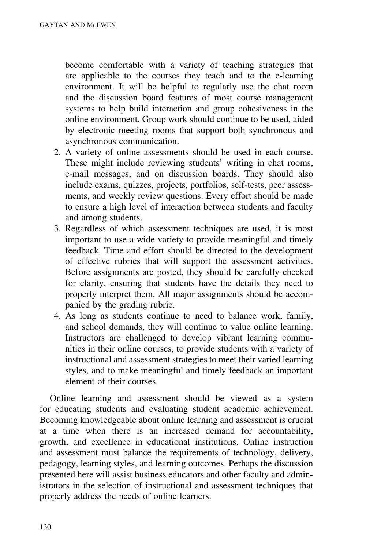become comfortable with a variety of teaching strategies that are applicable to the courses they teach and to the e-learning environment. It will be helpful to regularly use the chat room and the discussion board features of most course management systems to help build interaction and group cohesiveness in the online environment. Group work should continue to be used, aided by electronic meeting rooms that support both synchronous and asynchronous communication.

- 2. A variety of online assessments should be used in each course. These might include reviewing students' writing in chat rooms, e-mail messages, and on discussion boards. They should also include exams, quizzes, projects, portfolios, self-tests, peer assessments, and weekly review questions. Every effort should be made to ensure a high level of interaction between students and faculty and among students.
- 3. Regardless of which assessment techniques are used, it is most important to use a wide variety to provide meaningful and timely feedback. Time and effort should be directed to the development of effective rubrics that will support the assessment activities. Before assignments are posted, they should be carefully checked for clarity, ensuring that students have the details they need to properly interpret them. All major assignments should be accompanied by the grading rubric.
- 4. As long as students continue to need to balance work, family, and school demands, they will continue to value online learning. Instructors are challenged to develop vibrant learning communities in their online courses, to provide students with a variety of instructional and assessment strategies to meet their varied learning styles, and to make meaningful and timely feedback an important element of their courses.

Online learning and assessment should be viewed as a system for educating students and evaluating student academic achievement. Becoming knowledgeable about online learning and assessment is crucial at a time when there is an increased demand for accountability, growth, and excellence in educational institutions. Online instruction and assessment must balance the requirements of technology, delivery, pedagogy, learning styles, and learning outcomes. Perhaps the discussion presented here will assist business educators and other faculty and administrators in the selection of instructional and assessment techniques that properly address the needs of online learners.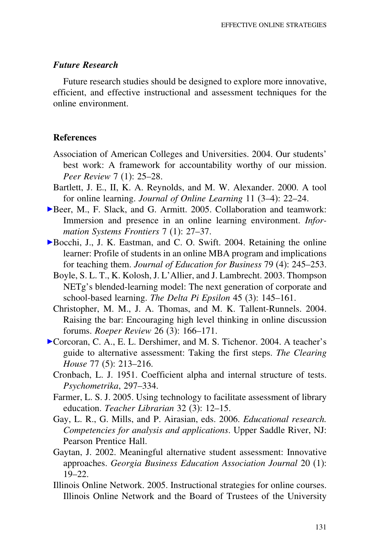#### *Future Research*

Future research studies should be designed to explore more innovative, efficient, and effective instructional and assessment techniques for the online environment.

## **References**

- Association of American Colleges and Universities. 2004. Our students' best work: A framework for accountability worthy of our mission. *Peer Review* 7 (1): 25–28.
- Bartlett, J. E., II, K. A. Reynolds, and M. W. Alexander. 2000. A tool for online learning. *Journal of Online Learning* 11 (3–4): 22–24.
- Beer, M., F. Slack, and G. Armitt. 2005. Collaboration and teamwork: Immersion and presence in an online learning environment. *Information Systems Frontiers* 7 (1): 27–37.
- Bocchi, J., J. K. Eastman, and C. O. Swift. 2004. Retaining the online learner: Profile of students in an online MBA program and implications for teaching them. *Journal of Education for Business* 79 (4): 245–253.
	- Boyle, S. L. T., K. Kolosh, J. L'Allier, and J. Lambrecht. 2003. Thompson NETg's blended-learning model: The next generation of corporate and school-based learning. *The Delta Pi Epsilon* 45 (3): 145–161.
	- Christopher, M. M., J. A. Thomas, and M. K. Tallent-Runnels. 2004. Raising the bar: Encouraging high level thinking in online discussion forums. *Roeper Review* 26 (3): 166–171.
- Corcoran, C. A., E. L. Dershimer, and M. S. Tichenor. 2004. A teacher's guide to alternative assessment: Taking the first steps. *The Clearing House* 77 (5): 213–216.
	- Cronbach, L. J. 1951. Coefficient alpha and internal structure of tests. *Psychometrika*, 297–334.
	- Farmer, L. S. J. 2005. Using technology to facilitate assessment of library education. *Teacher Librarian* 32 (3): 12–15.
	- Gay, L. R., G. Mills, and P. Airasian, eds. 2006. *Educational research. Competencies for analysis and applications*. Upper Saddle River, NJ: Pearson Prentice Hall.
	- Gaytan, J. 2002. Meaningful alternative student assessment: Innovative approaches. *Georgia Business Education Association Journal* 20 (1): 19–22.
	- Illinois Online Network. 2005. Instructional strategies for online courses. Illinois Online Network and the Board of Trustees of the University